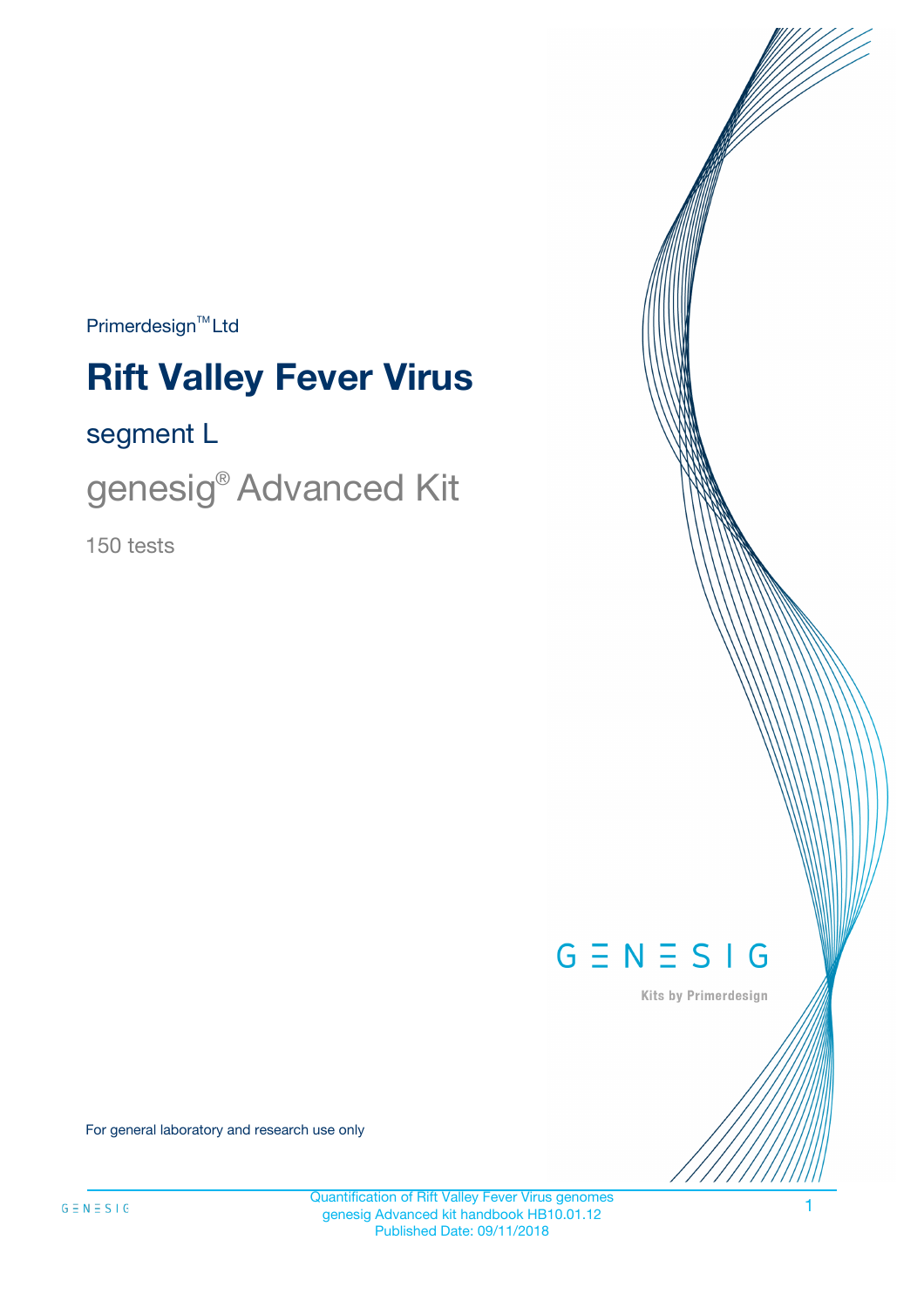$Primerdesign^{\text{TM}}Ltd$ 

# **Rift Valley Fever Virus**

### segment L

genesig® Advanced Kit

150 tests



Kits by Primerdesign

For general laboratory and research use only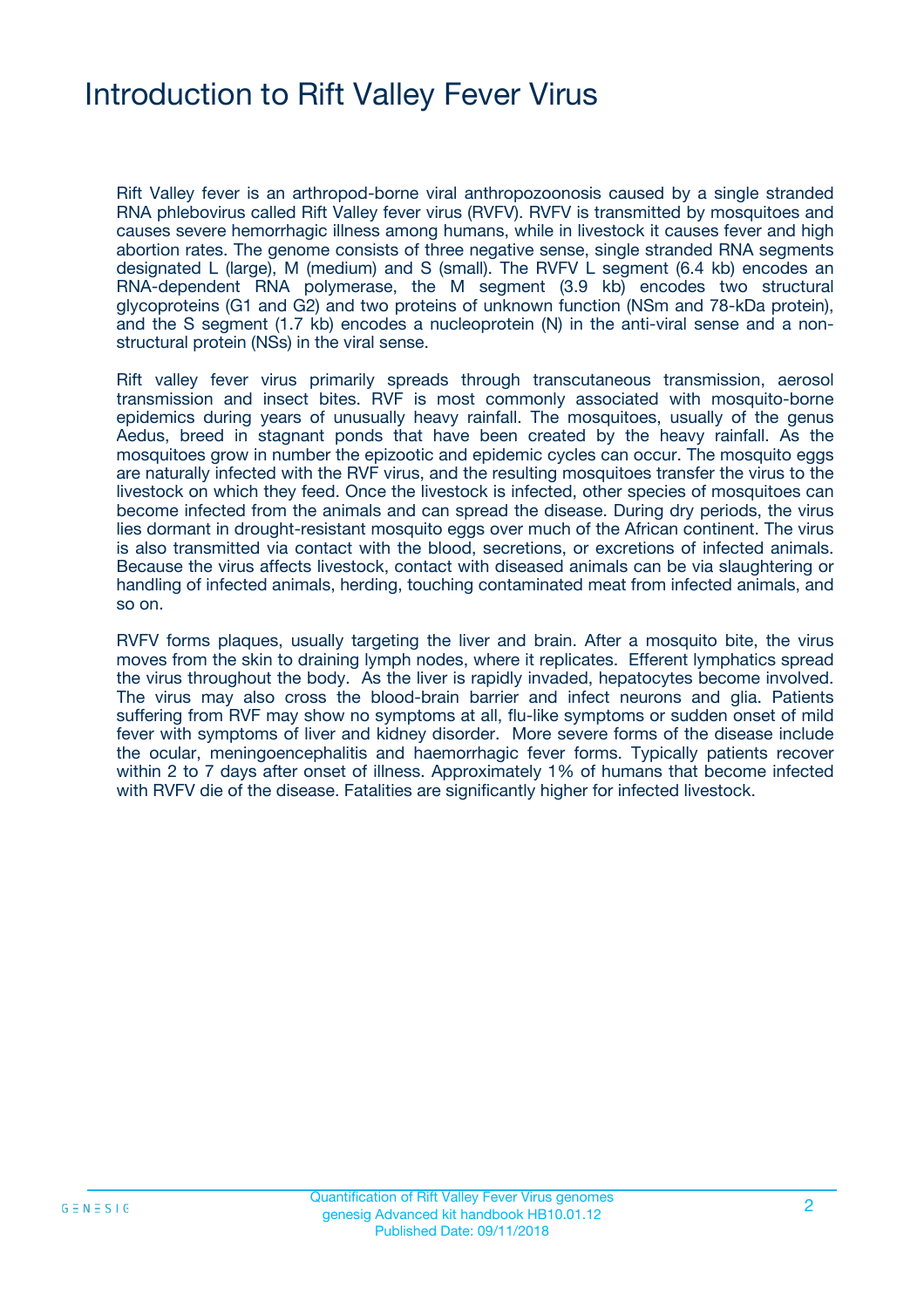### Introduction to Rift Valley Fever Virus

Rift Valley fever is an arthropod-borne viral anthropozoonosis caused by a single stranded RNA phlebovirus called Rift Valley fever virus (RVFV). RVFV is transmitted by mosquitoes and causes severe hemorrhagic illness among humans, while in livestock it causes fever and high abortion rates. The genome consists of three negative sense, single stranded RNA segments designated L (large), M (medium) and S (small). The RVFV L segment (6.4 kb) encodes an RNA-dependent RNA polymerase, the M segment (3.9 kb) encodes two structural glycoproteins (G1 and G2) and two proteins of unknown function (NSm and 78-kDa protein), and the S segment (1.7 kb) encodes a nucleoprotein (N) in the anti-viral sense and a nonstructural protein (NSs) in the viral sense.

Rift valley fever virus primarily spreads through transcutaneous transmission, aerosol transmission and insect bites. RVF is most commonly associated with mosquito-borne epidemics during years of unusually heavy rainfall. The mosquitoes, usually of the genus Aedus, breed in stagnant ponds that have been created by the heavy rainfall. As the mosquitoes grow in number the epizootic and epidemic cycles can occur. The mosquito eggs are naturally infected with the RVF virus, and the resulting mosquitoes transfer the virus to the livestock on which they feed. Once the livestock is infected, other species of mosquitoes can become infected from the animals and can spread the disease. During dry periods, the virus lies dormant in drought-resistant mosquito eggs over much of the African continent. The virus is also transmitted via contact with the blood, secretions, or excretions of infected animals. Because the virus affects livestock, contact with diseased animals can be via slaughtering or handling of infected animals, herding, touching contaminated meat from infected animals, and so on.

RVFV forms plaques, usually targeting the liver and brain. After a mosquito bite, the virus moves from the skin to draining lymph nodes, where it replicates. Efferent lymphatics spread the virus throughout the body. As the liver is rapidly invaded, hepatocytes become involved. The virus may also cross the blood-brain barrier and infect neurons and glia. Patients suffering from RVF may show no symptoms at all, flu-like symptoms or sudden onset of mild fever with symptoms of liver and kidney disorder. More severe forms of the disease include the ocular, meningoencephalitis and haemorrhagic fever forms. Typically patients recover within 2 to 7 days after onset of illness. Approximately 1% of humans that become infected with RVFV die of the disease. Fatalities are significantly higher for infected livestock.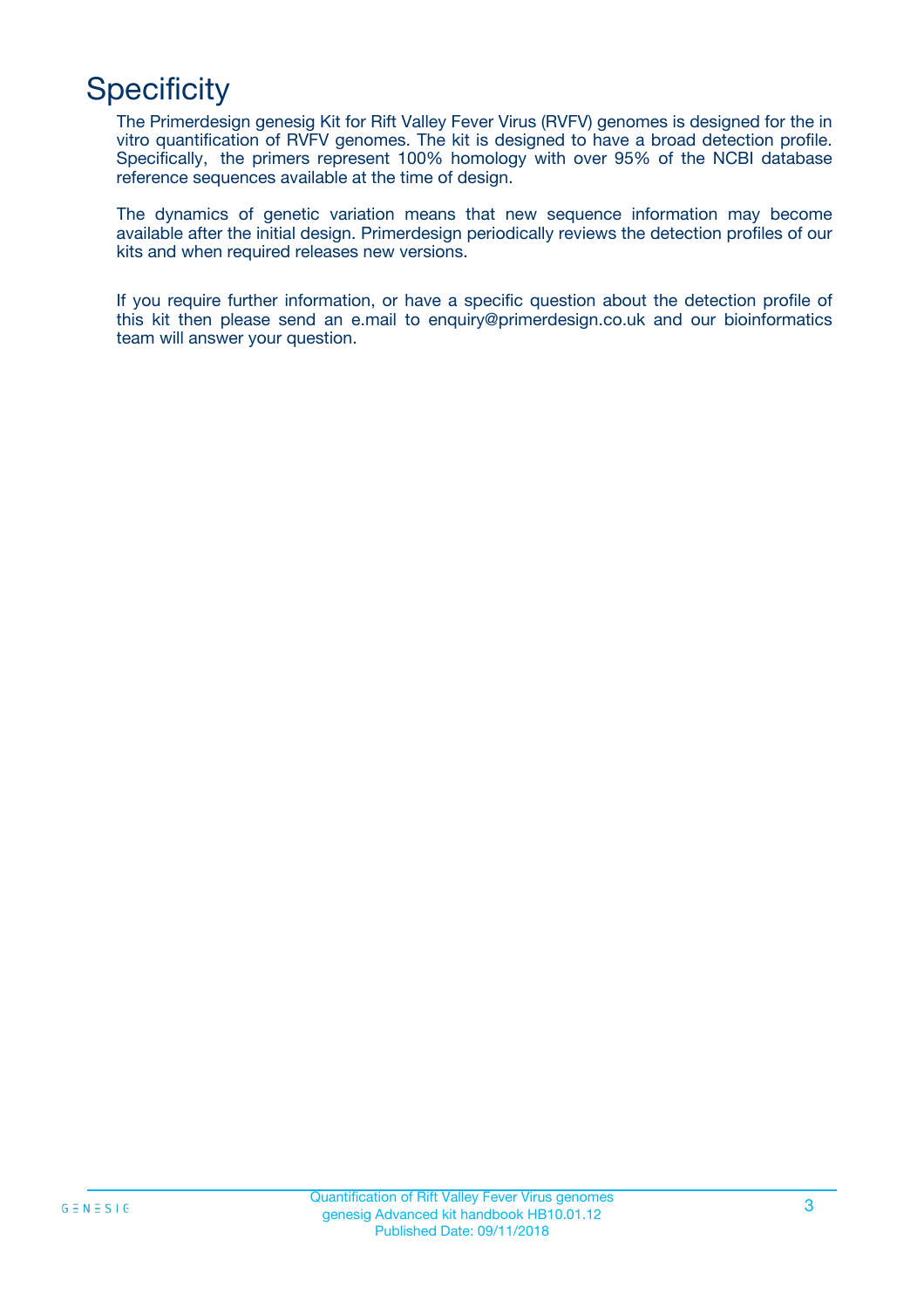# **Specificity**

The Primerdesign genesig Kit for Rift Valley Fever Virus (RVFV) genomes is designed for the in vitro quantification of RVFV genomes. The kit is designed to have a broad detection profile. Specifically, the primers represent 100% homology with over 95% of the NCBI database reference sequences available at the time of design.

The dynamics of genetic variation means that new sequence information may become available after the initial design. Primerdesign periodically reviews the detection profiles of our kits and when required releases new versions.

If you require further information, or have a specific question about the detection profile of this kit then please send an e.mail to enquiry@primerdesign.co.uk and our bioinformatics team will answer your question.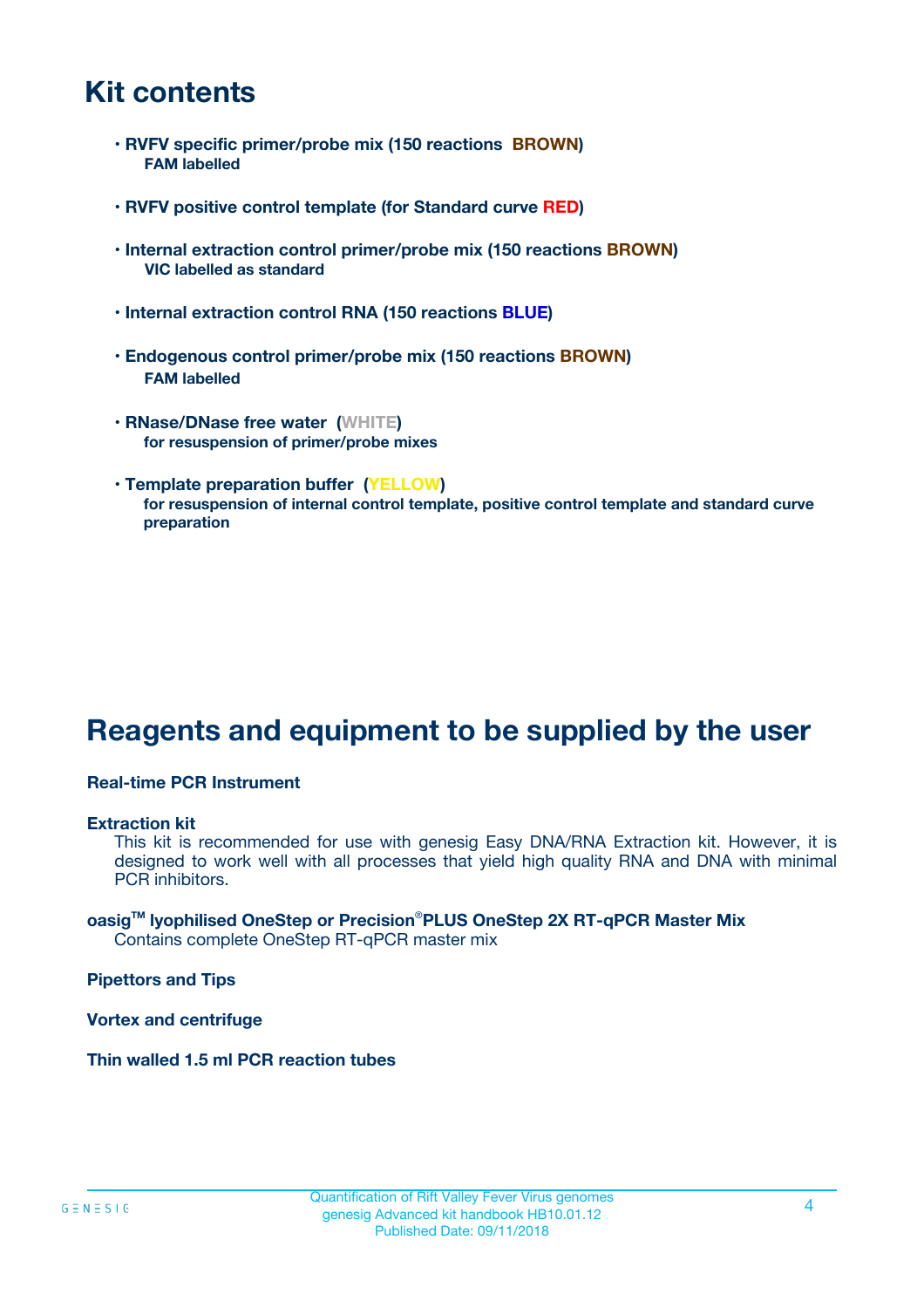### **Kit contents**

- **RVFV specific primer/probe mix (150 reactions BROWN) FAM labelled**
- **RVFV positive control template (for Standard curve RED)**
- **Internal extraction control primer/probe mix (150 reactions BROWN) VIC labelled as standard**
- **Internal extraction control RNA (150 reactions BLUE)**
- **Endogenous control primer/probe mix (150 reactions BROWN) FAM labelled**
- **RNase/DNase free water (WHITE) for resuspension of primer/probe mixes**
- **Template preparation buffer (YELLOW) for resuspension of internal control template, positive control template and standard curve preparation**

### **Reagents and equipment to be supplied by the user**

#### **Real-time PCR Instrument**

#### **Extraction kit**

This kit is recommended for use with genesig Easy DNA/RNA Extraction kit. However, it is designed to work well with all processes that yield high quality RNA and DNA with minimal PCR inhibitors.

#### **oasigTM lyophilised OneStep or Precision**®**PLUS OneStep 2X RT-qPCR Master Mix** Contains complete OneStep RT-qPCR master mix

**Pipettors and Tips**

**Vortex and centrifuge**

**Thin walled 1.5 ml PCR reaction tubes**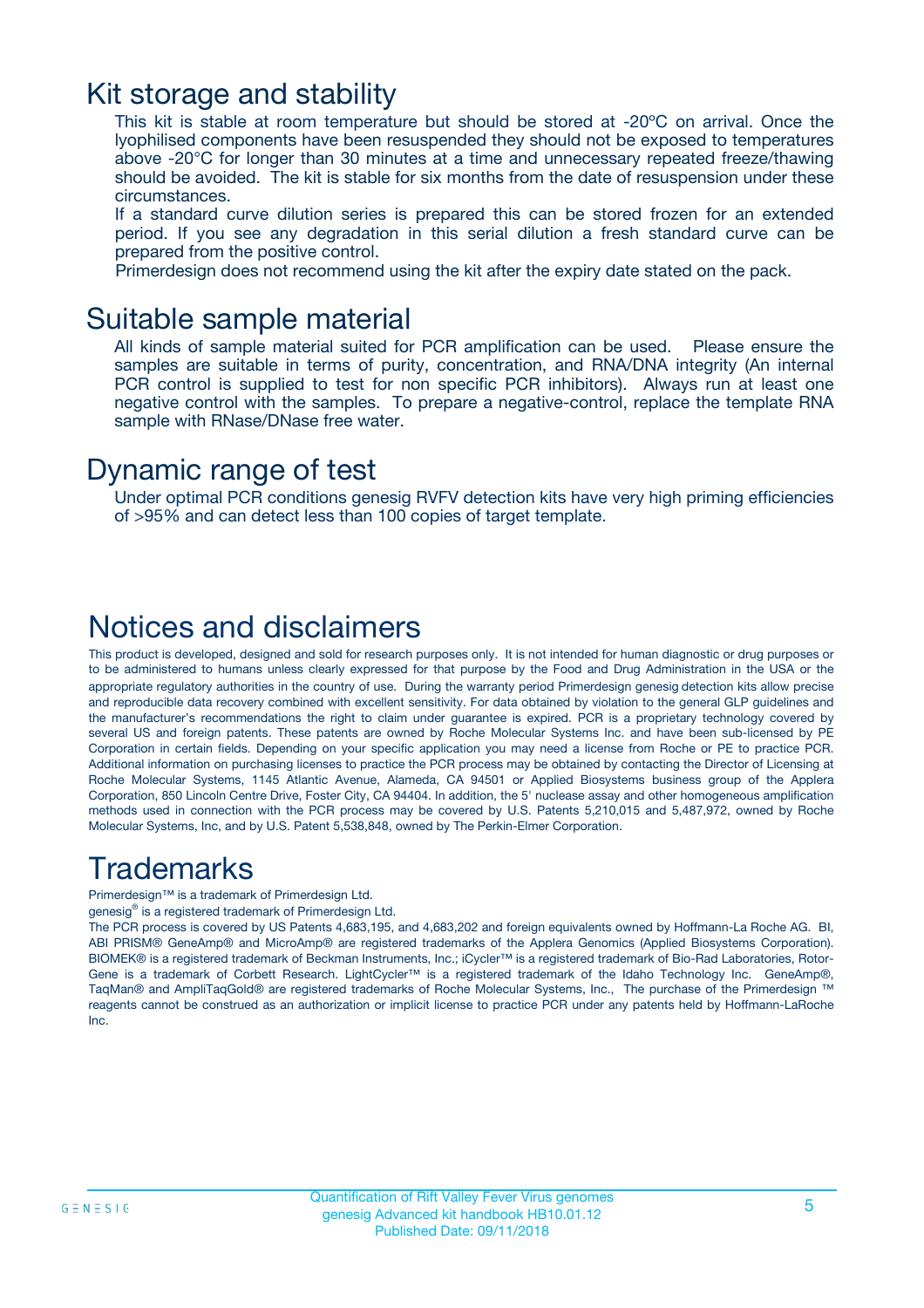### Kit storage and stability

This kit is stable at room temperature but should be stored at -20ºC on arrival. Once the lyophilised components have been resuspended they should not be exposed to temperatures above -20°C for longer than 30 minutes at a time and unnecessary repeated freeze/thawing should be avoided. The kit is stable for six months from the date of resuspension under these circumstances.

If a standard curve dilution series is prepared this can be stored frozen for an extended period. If you see any degradation in this serial dilution a fresh standard curve can be prepared from the positive control.

Primerdesign does not recommend using the kit after the expiry date stated on the pack.

### Suitable sample material

All kinds of sample material suited for PCR amplification can be used. Please ensure the samples are suitable in terms of purity, concentration, and RNA/DNA integrity (An internal PCR control is supplied to test for non specific PCR inhibitors). Always run at least one negative control with the samples. To prepare a negative-control, replace the template RNA sample with RNase/DNase free water.

### Dynamic range of test

Under optimal PCR conditions genesig RVFV detection kits have very high priming efficiencies of >95% and can detect less than 100 copies of target template.

### Notices and disclaimers

This product is developed, designed and sold for research purposes only. It is not intended for human diagnostic or drug purposes or to be administered to humans unless clearly expressed for that purpose by the Food and Drug Administration in the USA or the appropriate regulatory authorities in the country of use. During the warranty period Primerdesign genesig detection kits allow precise and reproducible data recovery combined with excellent sensitivity. For data obtained by violation to the general GLP guidelines and the manufacturer's recommendations the right to claim under guarantee is expired. PCR is a proprietary technology covered by several US and foreign patents. These patents are owned by Roche Molecular Systems Inc. and have been sub-licensed by PE Corporation in certain fields. Depending on your specific application you may need a license from Roche or PE to practice PCR. Additional information on purchasing licenses to practice the PCR process may be obtained by contacting the Director of Licensing at Roche Molecular Systems, 1145 Atlantic Avenue, Alameda, CA 94501 or Applied Biosystems business group of the Applera Corporation, 850 Lincoln Centre Drive, Foster City, CA 94404. In addition, the 5' nuclease assay and other homogeneous amplification methods used in connection with the PCR process may be covered by U.S. Patents 5,210,015 and 5,487,972, owned by Roche Molecular Systems, Inc, and by U.S. Patent 5,538,848, owned by The Perkin-Elmer Corporation.

### Trademarks

Primerdesign™ is a trademark of Primerdesign Ltd.

genesig® is a registered trademark of Primerdesign Ltd.

The PCR process is covered by US Patents 4,683,195, and 4,683,202 and foreign equivalents owned by Hoffmann-La Roche AG. BI, ABI PRISM® GeneAmp® and MicroAmp® are registered trademarks of the Applera Genomics (Applied Biosystems Corporation). BIOMEK® is a registered trademark of Beckman Instruments, Inc.; iCycler™ is a registered trademark of Bio-Rad Laboratories, Rotor-Gene is a trademark of Corbett Research. LightCycler™ is a registered trademark of the Idaho Technology Inc. GeneAmp®, TaqMan® and AmpliTaqGold® are registered trademarks of Roche Molecular Systems, Inc., The purchase of the Primerdesign ™ reagents cannot be construed as an authorization or implicit license to practice PCR under any patents held by Hoffmann-LaRoche Inc.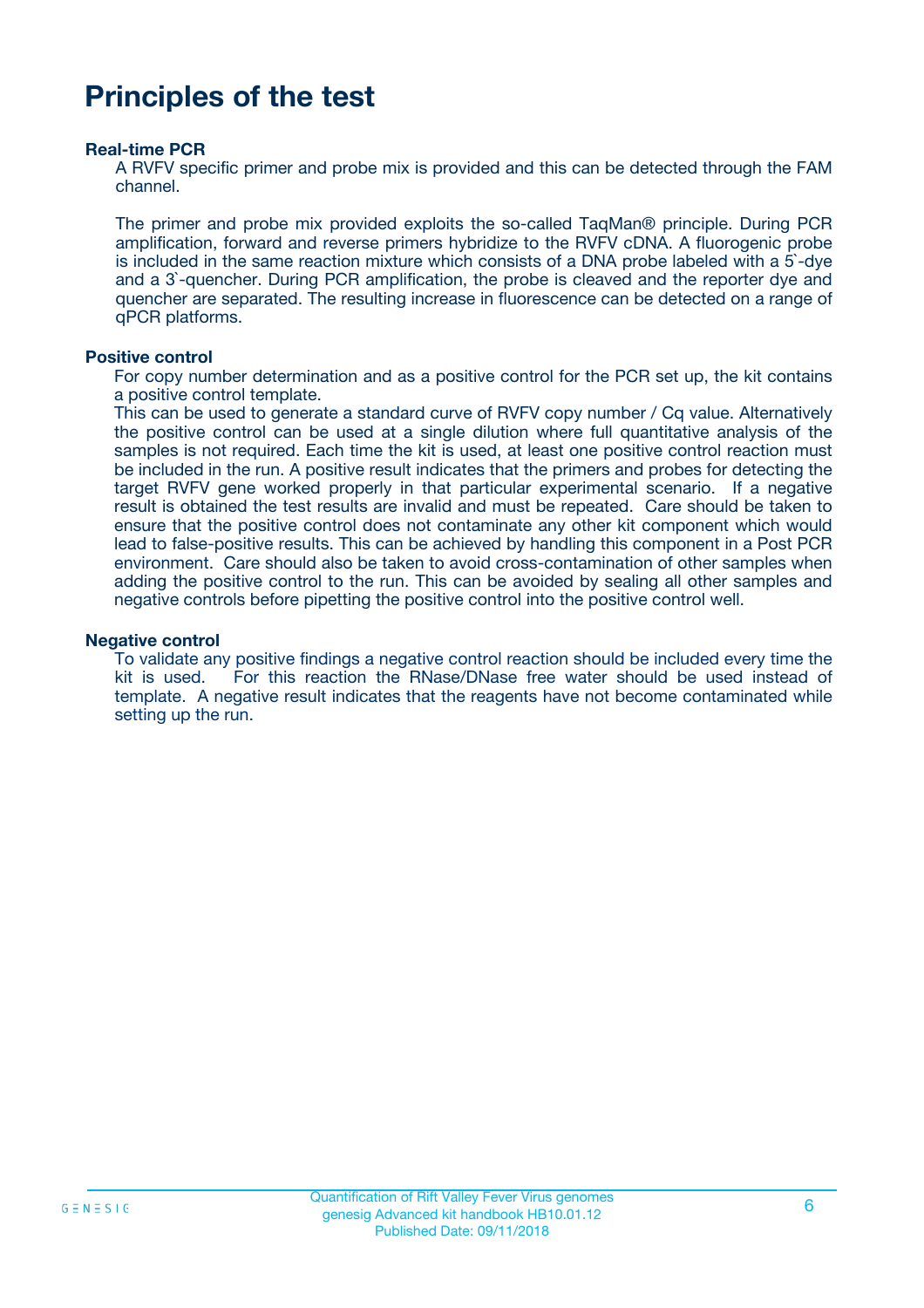### **Principles of the test**

#### **Real-time PCR**

A RVFV specific primer and probe mix is provided and this can be detected through the FAM channel.

The primer and probe mix provided exploits the so-called TaqMan® principle. During PCR amplification, forward and reverse primers hybridize to the RVFV cDNA. A fluorogenic probe is included in the same reaction mixture which consists of a DNA probe labeled with a 5`-dye and a 3`-quencher. During PCR amplification, the probe is cleaved and the reporter dye and quencher are separated. The resulting increase in fluorescence can be detected on a range of qPCR platforms.

#### **Positive control**

For copy number determination and as a positive control for the PCR set up, the kit contains a positive control template.

This can be used to generate a standard curve of RVFV copy number / Cq value. Alternatively the positive control can be used at a single dilution where full quantitative analysis of the samples is not required. Each time the kit is used, at least one positive control reaction must be included in the run. A positive result indicates that the primers and probes for detecting the target RVFV gene worked properly in that particular experimental scenario. If a negative result is obtained the test results are invalid and must be repeated. Care should be taken to ensure that the positive control does not contaminate any other kit component which would lead to false-positive results. This can be achieved by handling this component in a Post PCR environment. Care should also be taken to avoid cross-contamination of other samples when adding the positive control to the run. This can be avoided by sealing all other samples and negative controls before pipetting the positive control into the positive control well.

#### **Negative control**

To validate any positive findings a negative control reaction should be included every time the kit is used. For this reaction the RNase/DNase free water should be used instead of template. A negative result indicates that the reagents have not become contaminated while setting up the run.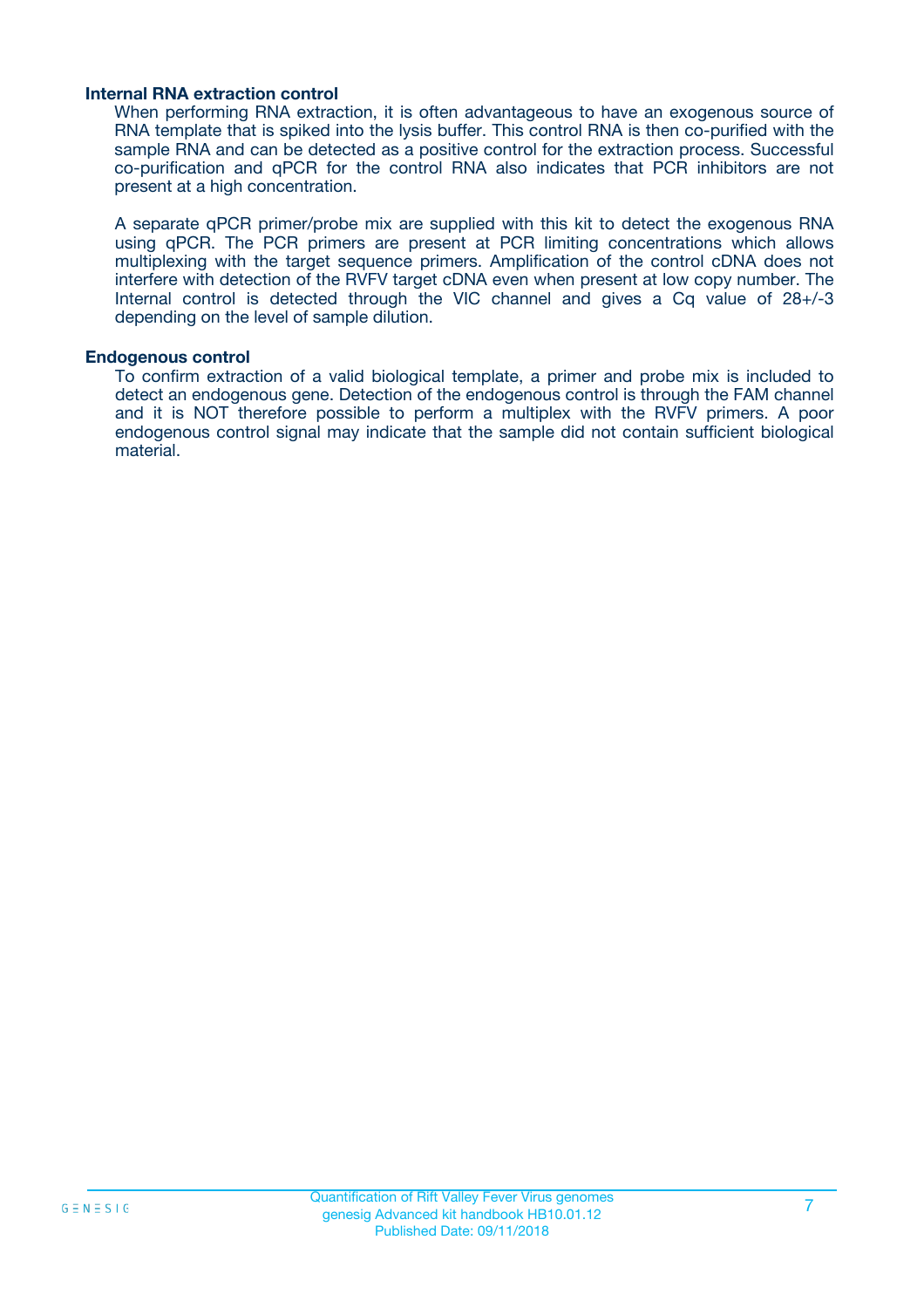#### **Internal RNA extraction control**

When performing RNA extraction, it is often advantageous to have an exogenous source of RNA template that is spiked into the lysis buffer. This control RNA is then co-purified with the sample RNA and can be detected as a positive control for the extraction process. Successful co-purification and qPCR for the control RNA also indicates that PCR inhibitors are not present at a high concentration.

A separate qPCR primer/probe mix are supplied with this kit to detect the exogenous RNA using qPCR. The PCR primers are present at PCR limiting concentrations which allows multiplexing with the target sequence primers. Amplification of the control cDNA does not interfere with detection of the RVFV target cDNA even when present at low copy number. The Internal control is detected through the VIC channel and gives a Cq value of 28+/-3 depending on the level of sample dilution.

#### **Endogenous control**

To confirm extraction of a valid biological template, a primer and probe mix is included to detect an endogenous gene. Detection of the endogenous control is through the FAM channel and it is NOT therefore possible to perform a multiplex with the RVFV primers. A poor endogenous control signal may indicate that the sample did not contain sufficient biological material.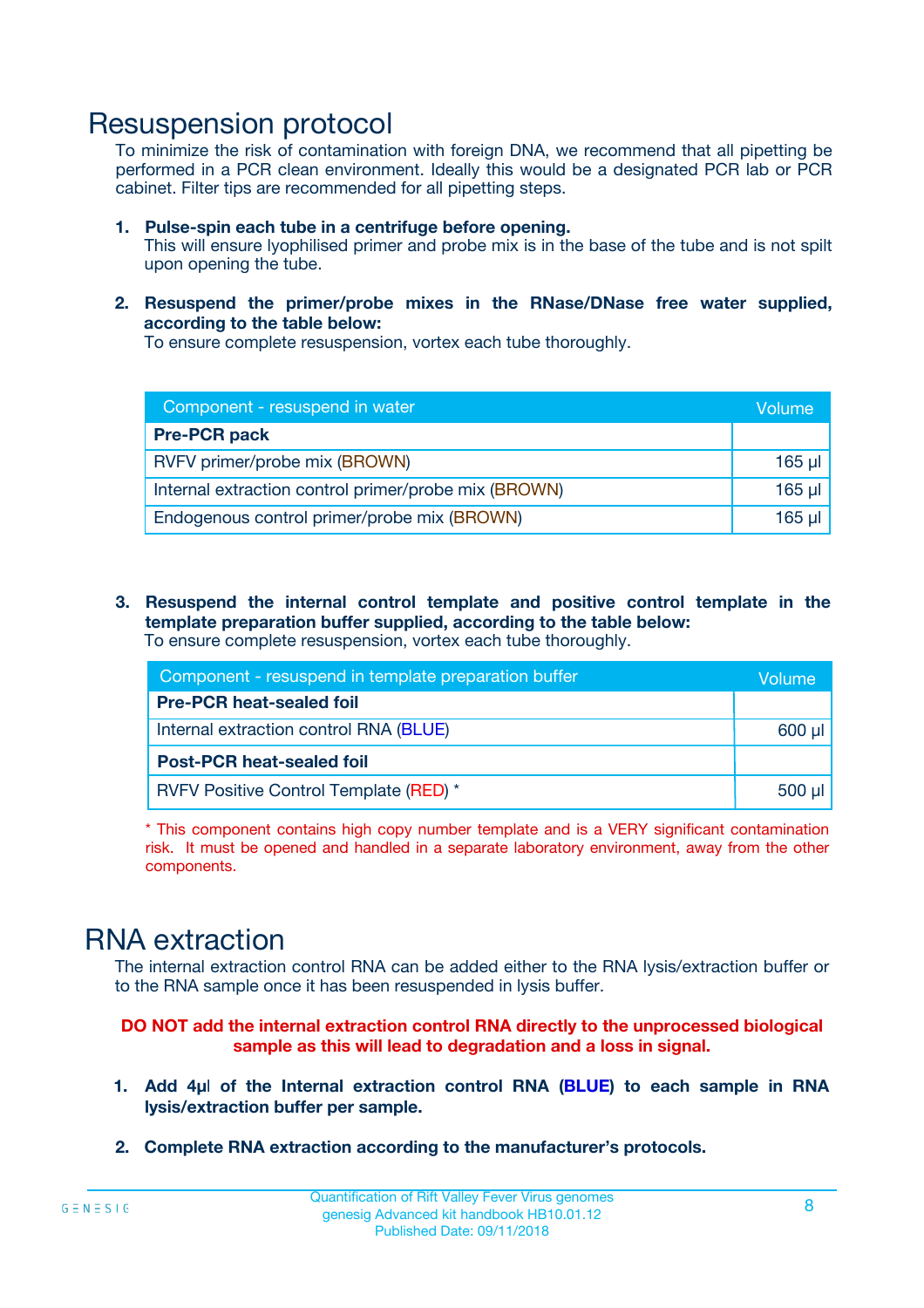### Resuspension protocol

To minimize the risk of contamination with foreign DNA, we recommend that all pipetting be performed in a PCR clean environment. Ideally this would be a designated PCR lab or PCR cabinet. Filter tips are recommended for all pipetting steps.

- **1. Pulse-spin each tube in a centrifuge before opening.** This will ensure lyophilised primer and probe mix is in the base of the tube and is not spilt upon opening the tube.
- **2. Resuspend the primer/probe mixes in the RNase/DNase free water supplied, according to the table below:**

To ensure complete resuspension, vortex each tube thoroughly.

| Component - resuspend in water                       | Volume   |
|------------------------------------------------------|----------|
| <b>Pre-PCR pack</b>                                  |          |
| RVFV primer/probe mix (BROWN)                        | $165$ µl |
| Internal extraction control primer/probe mix (BROWN) | $165$ µl |
| Endogenous control primer/probe mix (BROWN)          | 165 µl   |

**3. Resuspend the internal control template and positive control template in the template preparation buffer supplied, according to the table below:** To ensure complete resuspension, vortex each tube thoroughly.

| Component - resuspend in template preparation buffer |          |  |  |
|------------------------------------------------------|----------|--|--|
| <b>Pre-PCR heat-sealed foil</b>                      |          |  |  |
| Internal extraction control RNA (BLUE)               |          |  |  |
| <b>Post-PCR heat-sealed foil</b>                     |          |  |  |
| RVFV Positive Control Template (RED) *               | $500$ µl |  |  |

\* This component contains high copy number template and is a VERY significant contamination risk. It must be opened and handled in a separate laboratory environment, away from the other components.

### RNA extraction

The internal extraction control RNA can be added either to the RNA lysis/extraction buffer or to the RNA sample once it has been resuspended in lysis buffer.

#### **DO NOT add the internal extraction control RNA directly to the unprocessed biological sample as this will lead to degradation and a loss in signal.**

- **1. Add 4µ**l **of the Internal extraction control RNA (BLUE) to each sample in RNA lysis/extraction buffer per sample.**
- **2. Complete RNA extraction according to the manufacturer's protocols.**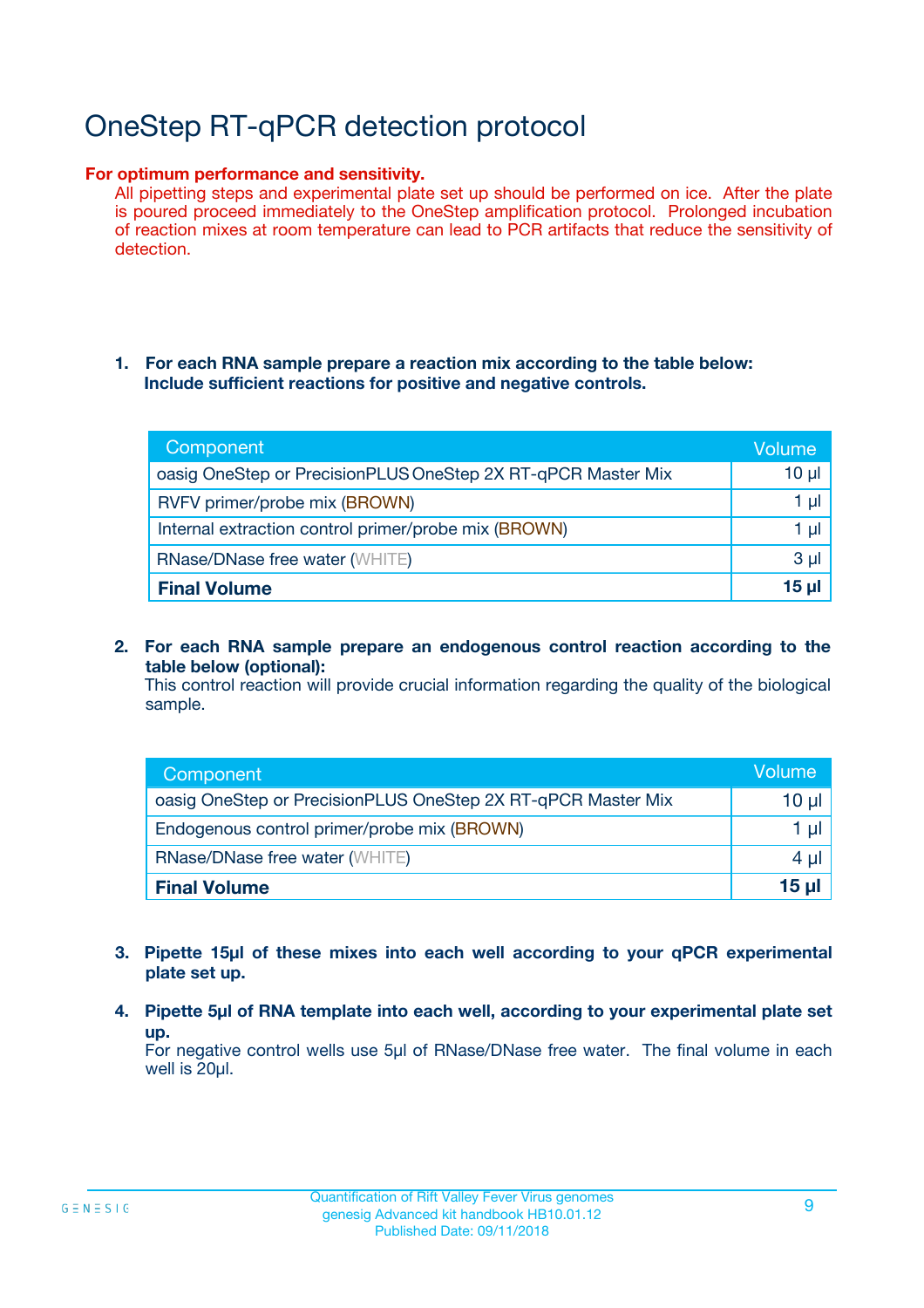# OneStep RT-qPCR detection protocol

#### **For optimum performance and sensitivity.**

All pipetting steps and experimental plate set up should be performed on ice. After the plate is poured proceed immediately to the OneStep amplification protocol. Prolonged incubation of reaction mixes at room temperature can lead to PCR artifacts that reduce the sensitivity of detection.

#### **1. For each RNA sample prepare a reaction mix according to the table below: Include sufficient reactions for positive and negative controls.**

| Component                                                    | <b>Volume</b> |
|--------------------------------------------------------------|---------------|
| oasig OneStep or PrecisionPLUS OneStep 2X RT-qPCR Master Mix | $10 \mu$      |
| RVFV primer/probe mix (BROWN)                                | 1 µI          |
| Internal extraction control primer/probe mix (BROWN)         | 1 µl          |
| <b>RNase/DNase free water (WHITE)</b>                        | $3 \mu$       |
| <b>Final Volume</b>                                          | 15 µl         |

**2. For each RNA sample prepare an endogenous control reaction according to the table below (optional):**

This control reaction will provide crucial information regarding the quality of the biological sample.

| Component                                                    | Volume          |
|--------------------------------------------------------------|-----------------|
| oasig OneStep or PrecisionPLUS OneStep 2X RT-qPCR Master Mix | 10 µl           |
| Endogenous control primer/probe mix (BROWN)                  | 1 µl            |
| <b>RNase/DNase free water (WHITE)</b>                        | $4 \mu$         |
| <b>Final Volume</b>                                          | $15$ µl $\vert$ |

- **3. Pipette 15µl of these mixes into each well according to your qPCR experimental plate set up.**
- **4. Pipette 5µl of RNA template into each well, according to your experimental plate set up.**

For negative control wells use 5µl of RNase/DNase free water. The final volume in each well is 20µl.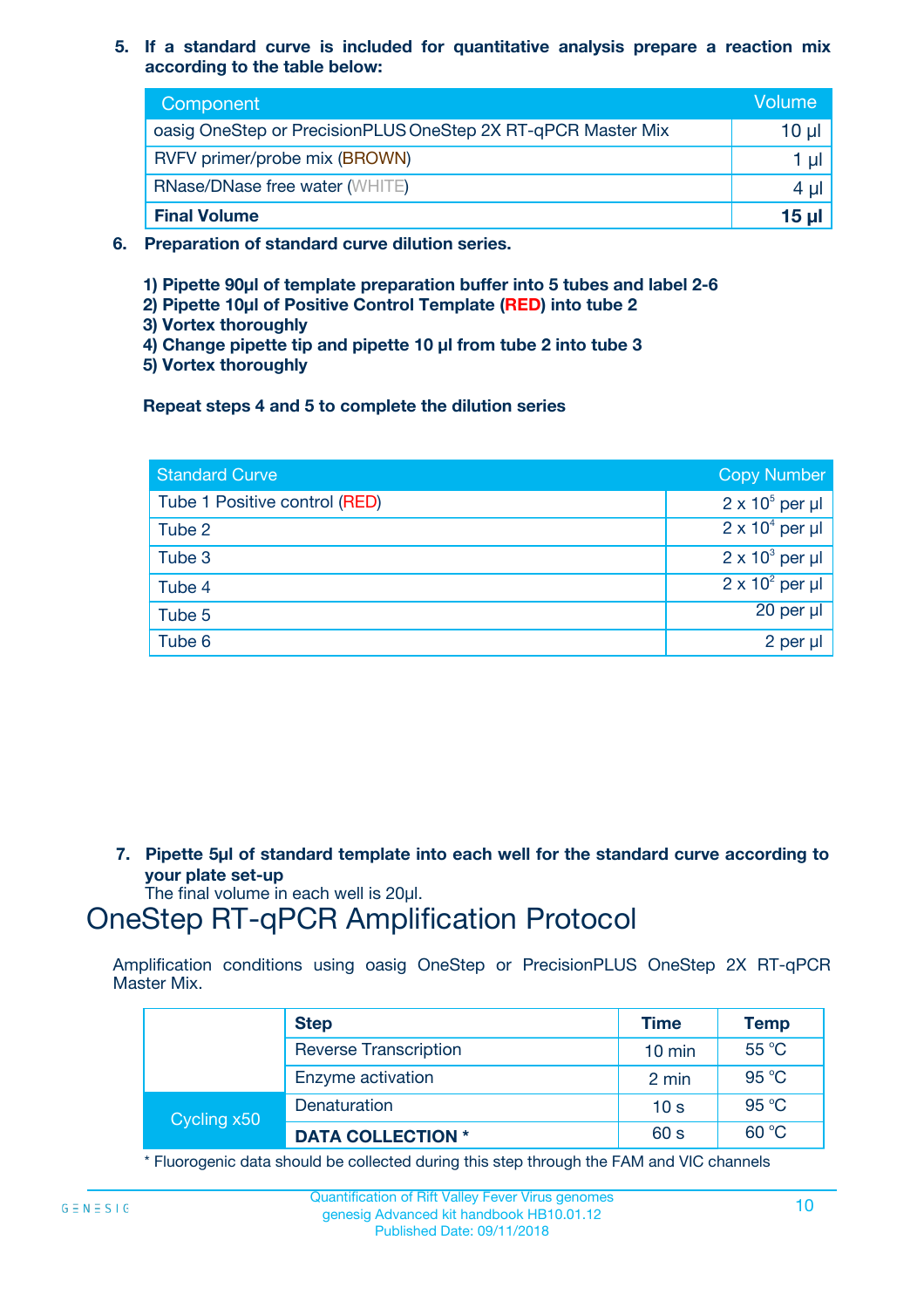**5. If a standard curve is included for quantitative analysis prepare a reaction mix according to the table below:**

| Component                                                    | Volume       |
|--------------------------------------------------------------|--------------|
| oasig OneStep or PrecisionPLUS OneStep 2X RT-qPCR Master Mix | 10 µl        |
| RVFV primer/probe mix (BROWN)                                |              |
| <b>RNase/DNase free water (WHITE)</b>                        | 4 U          |
| <b>Final Volume</b>                                          | <u>15 µl</u> |

- **6. Preparation of standard curve dilution series.**
	- **1) Pipette 90µl of template preparation buffer into 5 tubes and label 2-6**
	- **2) Pipette 10µl of Positive Control Template (RED) into tube 2**
	- **3) Vortex thoroughly**
	- **4) Change pipette tip and pipette 10 µl from tube 2 into tube 3**
	- **5) Vortex thoroughly**

**Repeat steps 4 and 5 to complete the dilution series**

| <b>Standard Curve</b>         | <b>Copy Number</b>     |
|-------------------------------|------------------------|
| Tube 1 Positive control (RED) | $2 \times 10^5$ per µl |
| Tube 2                        | $2 \times 10^4$ per µl |
| Tube 3                        | $2 \times 10^3$ per µl |
| Tube 4                        | $2 \times 10^2$ per µl |
| Tube 5                        | 20 per µl              |
| Tube 6                        | 2 per µl               |

**7. Pipette 5µl of standard template into each well for the standard curve according to your plate set-up**

The final volume in each well is 20µl.

### OneStep RT-qPCR Amplification Protocol

Amplification conditions using oasig OneStep or PrecisionPLUS OneStep 2X RT-qPCR Master Mix.

|             | <b>Step</b>                  | <b>Time</b>      | <b>Temp</b> |
|-------------|------------------------------|------------------|-------------|
|             | <b>Reverse Transcription</b> | $10 \text{ min}$ | 55 °C       |
|             | Enzyme activation            | 2 min            | 95 °C       |
| Cycling x50 | Denaturation                 | 10 <sub>s</sub>  | 95 °C       |
|             | <b>DATA COLLECTION *</b>     | 60 s             | 60 °C       |

\* Fluorogenic data should be collected during this step through the FAM and VIC channels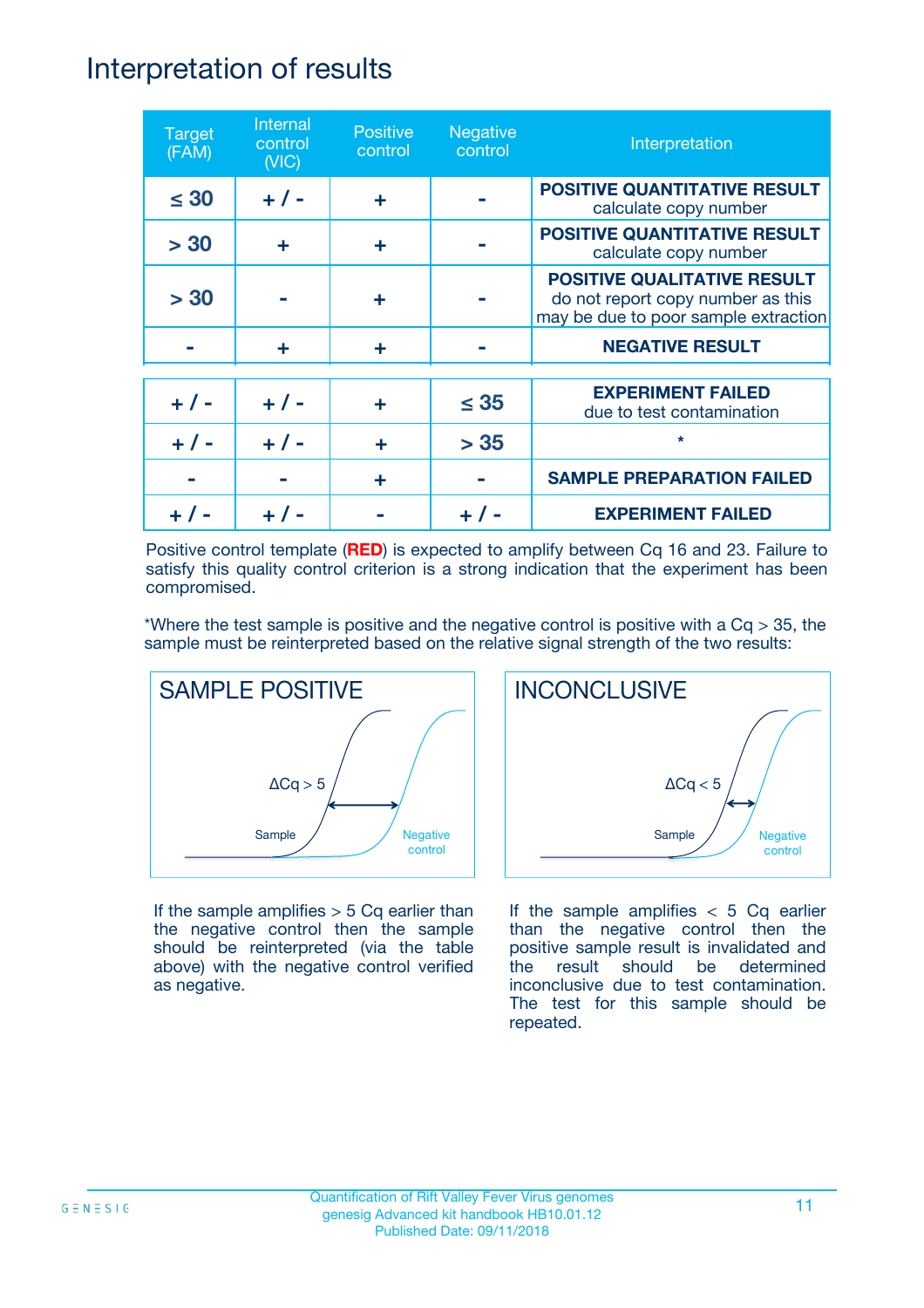### Interpretation of results

| <b>Target</b><br>(FAM) | Internal<br>control<br>(NIC) | <b>Positive</b><br>control | <b>Negative</b><br>control | Interpretation                                                                                                  |
|------------------------|------------------------------|----------------------------|----------------------------|-----------------------------------------------------------------------------------------------------------------|
| $\leq 30$              | $+ 1 -$                      | ÷                          |                            | <b>POSITIVE QUANTITATIVE RESULT</b><br>calculate copy number                                                    |
| > 30                   | ÷                            | ÷                          |                            | <b>POSITIVE QUANTITATIVE RESULT</b><br>calculate copy number                                                    |
| > 30                   |                              | ÷                          |                            | <b>POSITIVE QUALITATIVE RESULT</b><br>do not report copy number as this<br>may be due to poor sample extraction |
|                        | ÷                            | ÷                          |                            | <b>NEGATIVE RESULT</b>                                                                                          |
| $+ 1 -$                | $+ 1 -$                      | ÷                          | $\leq$ 35                  | <b>EXPERIMENT FAILED</b><br>due to test contamination                                                           |
|                        | $+ 1 -$                      |                            | > 35                       | $\star$                                                                                                         |
|                        |                              | ÷                          |                            | <b>SAMPLE PREPARATION FAILED</b>                                                                                |
|                        |                              |                            |                            | <b>EXPERIMENT FAILED</b>                                                                                        |

Positive control template (**RED**) is expected to amplify between Cq 16 and 23. Failure to satisfy this quality control criterion is a strong indication that the experiment has been compromised.

\*Where the test sample is positive and the negative control is positive with a  $Cq > 35$ , the sample must be reinterpreted based on the relative signal strength of the two results:



If the sample amplifies  $> 5$  Cq earlier than the negative control then the sample should be reinterpreted (via the table above) with the negative control verified as negative.



If the sample amplifies  $< 5$  Cq earlier than the negative control then the positive sample result is invalidated and the result should be determined inconclusive due to test contamination. The test for this sample should be repeated.